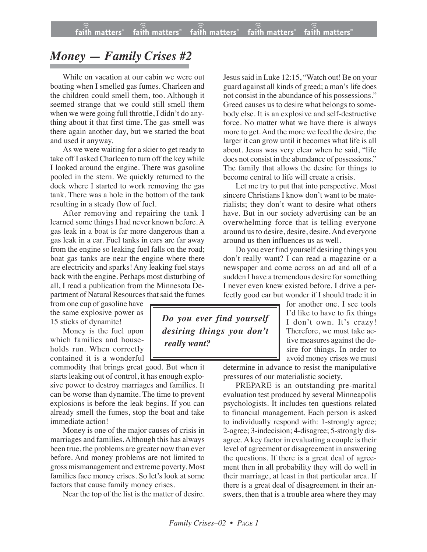## *Money — Family Crises #2*

While on vacation at our cabin we were out boating when I smelled gas fumes. Charleen and the children could smell them, too. Although it seemed strange that we could still smell them when we were going full throttle, I didn't do anything about it that first time. The gas smell was there again another day, but we started the boat and used it anyway.

As we were waiting for a skier to get ready to take off I asked Charleen to turn off the key while I looked around the engine. There was gasoline pooled in the stern. We quickly returned to the dock where I started to work removing the gas tank. There was a hole in the bottom of the tank resulting in a steady flow of fuel.

After removing and repairing the tank I learned some things I had never known before. A gas leak in a boat is far more dangerous than a gas leak in a car. Fuel tanks in cars are far away from the engine so leaking fuel falls on the road; boat gas tanks are near the engine where there are electricity and sparks! Any leaking fuel stays back with the engine. Perhaps most disturbing of all, I read a publication from the Minnesota Department of Natural Resources that said the fumes

from one cup of gasoline have the same explosive power as 15 sticks of dynamite!

Money is the fuel upon which families and households run. When correctly contained it is a wonderful

commodity that brings great good. But when it starts leaking out of control, it has enough explosive power to destroy marriages and families. It can be worse than dynamite. The time to prevent explosions is before the leak begins. If you can already smell the fumes, stop the boat and take immediate action!

Money is one of the major causes of crisis in marriages and families. Although this has always been true, the problems are greater now than ever before. And money problems are not limited to gross mismanagement and extreme poverty. Most families face money crises. So let's look at some factors that cause family money crises.

Near the top of the list is the matter of desire.

Jesus said in Luke 12:15, "Watch out! Be on your guard against all kinds of greed; a man's life does not consist in the abundance of his possessions." Greed causes us to desire what belongs to somebody else. It is an explosive and self-destructive force. No matter what we have there is always more to get. And the more we feed the desire, the larger it can grow until it becomes what life is all about. Jesus was very clear when he said, "life does not consist in the abundance of possessions." The family that allows the desire for things to become central to life will create a crisis.

Let me try to put that into perspective. Most sincere Christians I know don't want to be materialists; they don't want to desire what others have. But in our society advertising can be an overwhelming force that is telling everyone around us to desire, desire, desire. And everyone around us then influences us as well.

Do you ever find yourself desiring things you don't really want? I can read a magazine or a newspaper and come across an ad and all of a sudden I have a tremendous desire for something I never even knew existed before. I drive a perfectly good car but wonder if I should trade it in

for another one. I see tools I'd like to have to fix things I don't own. It's crazy! Therefore, we must take active measures against the desire for things. In order to avoid money crises we must

determine in advance to resist the manipulative pressures of our materialistic society.

PREPARE is an outstanding pre-marital evaluation test produced by several Minneapolis psychologists. It includes ten questions related to financial management. Each person is asked to individually respond with: 1-strongly agree; 2-agree; 3-indecision; 4-disagree; 5-strongly disagree. A key factor in evaluating a couple is their level of agreement or disagreement in answering the questions. If there is a great deal of agreement then in all probability they will do well in their marriage, at least in that particular area. If there is a great deal of disagreement in their answers, then that is a trouble area where they may

*Do you ever find yourself desiring things you don't really want?*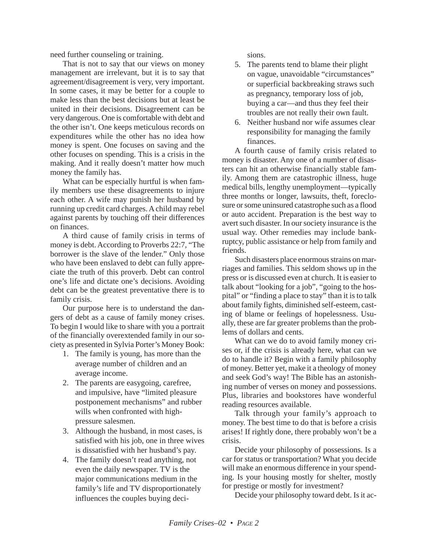need further counseling or training.

That is not to say that our views on money management are irrelevant, but it is to say that agreement/disagreement is very, very important. In some cases, it may be better for a couple to make less than the best decisions but at least be united in their decisions. Disagreement can be very dangerous. One is comfortable with debt and the other isn't. One keeps meticulous records on expenditures while the other has no idea how money is spent. One focuses on saving and the other focuses on spending. This is a crisis in the making. And it really doesn't matter how much money the family has.

What can be especially hurtful is when family members use these disagreements to injure each other. A wife may punish her husband by running up credit card charges. A child may rebel against parents by touching off their differences on finances.

A third cause of family crisis in terms of money is debt. According to Proverbs 22:7, "The borrower is the slave of the lender." Only those who have been enslaved to debt can fully appreciate the truth of this proverb. Debt can control one's life and dictate one's decisions. Avoiding debt can be the greatest preventative there is to family crisis.

Our purpose here is to understand the dangers of debt as a cause of family money crises. To begin I would like to share with you a portrait of the financially overextended family in our society as presented in Sylvia Porter's Money Book:

- 1. The family is young, has more than the average number of children and an average income.
- 2. The parents are easygoing, carefree, and impulsive, have "limited pleasure postponement mechanisms" and rubber wills when confronted with highpressure salesmen.
- 3. Although the husband, in most cases, is satisfied with his job, one in three wives is dissatisfied with her husband's pay.
- 4. The family doesn't read anything, not even the daily newspaper. TV is the major communications medium in the family's life and TV disproportionately influences the couples buying deci-

sions.

- 5. The parents tend to blame their plight on vague, unavoidable "circumstances" or superficial backbreaking straws such as pregnancy, temporary loss of job, buying a car—and thus they feel their troubles are not really their own fault.
- 6. Neither husband nor wife assumes clear responsibility for managing the family finances.

A fourth cause of family crisis related to money is disaster. Any one of a number of disasters can hit an otherwise financially stable family. Among them are catastrophic illness, huge medical bills, lengthy unemployment—typically three months or longer, lawsuits, theft, foreclosure or some uninsured catastrophe such as a flood or auto accident. Preparation is the best way to avert such disaster. In our society insurance is the usual way. Other remedies may include bankruptcy, public assistance or help from family and friends.

Such disasters place enormous strains on marriages and families. This seldom shows up in the press or is discussed even at church. It is easier to talk about "looking for a job", "going to the hospital" or "finding a place to stay" than it is to talk about family fights, diminished self-esteem, casting of blame or feelings of hopelessness. Usually, these are far greater problems than the problems of dollars and cents.

What can we do to avoid family money crises or, if the crisis is already here, what can we do to handle it? Begin with a family philosophy of money. Better yet, make it a theology of money and seek God's way! The Bible has an astonishing number of verses on money and possessions. Plus, libraries and bookstores have wonderful reading resources available.

Talk through your family's approach to money. The best time to do that is before a crisis arises! If rightly done, there probably won't be a crisis.

Decide your philosophy of possessions. Is a car for status or transportation? What you decide will make an enormous difference in your spending. Is your housing mostly for shelter, mostly for prestige or mostly for investment?

Decide your philosophy toward debt. Is it ac-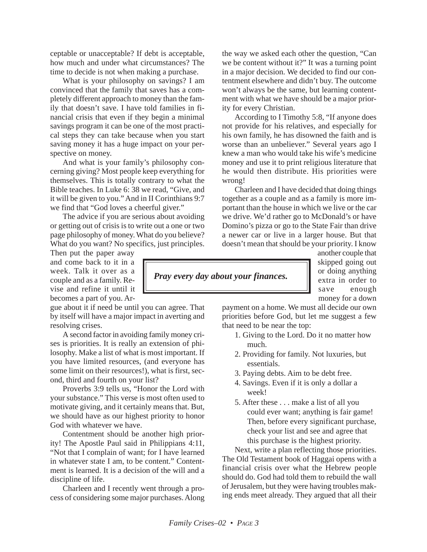ceptable or unacceptable? If debt is acceptable, how much and under what circumstances? The time to decide is not when making a purchase.

What is your philosophy on savings? I am convinced that the family that saves has a completely different approach to money than the family that doesn't save. I have told families in financial crisis that even if they begin a minimal savings program it can be one of the most practical steps they can take because when you start saving money it has a huge impact on your perspective on money.

And what is your family's philosophy concerning giving? Most people keep everything for themselves. This is totally contrary to what the Bible teaches. In Luke 6: 38 we read, "Give, and it will be given to you." And in II Corinthians 9:7 we find that "God loves a cheerful giver."

The advice if you are serious about avoiding or getting out of crisis is to write out a one or two page philosophy of money. What do you believe? What do you want? No specifics, just principles.

Then put the paper away and come back to it in a week. Talk it over as a couple and as a family. Revise and refine it until it becomes a part of you. Ar-

gue about it if need be until you can agree. That by itself will have a major impact in averting and resolving crises.

A second factor in avoiding family money crises is priorities. It is really an extension of philosophy. Make a list of what is most important. If you have limited resources, (and everyone has some limit on their resources!), what is first, second, third and fourth on your list?

Proverbs 3:9 tells us, "Honor the Lord with your substance." This verse is most often used to motivate giving, and it certainly means that. But, we should have as our highest priority to honor God with whatever we have.

Contentment should be another high priority! The Apostle Paul said in Philippians 4:11, "Not that I complain of want; for I have learned in whatever state I am, to be content." Contentment is learned. It is a decision of the will and a discipline of life.

Charleen and I recently went through a process of considering some major purchases. Along the way we asked each other the question, "Can we be content without it?" It was a turning point in a major decision. We decided to find our contentment elsewhere and didn't buy. The outcome won't always be the same, but learning contentment with what we have should be a major priority for every Christian.

According to I Timothy 5:8, "If anyone does not provide for his relatives, and especially for his own family, he has disowned the faith and is worse than an unbeliever." Several years ago I knew a man who would take his wife's medicine money and use it to print religious literature that he would then distribute. His priorities were wrong!

Charleen and I have decided that doing things together as a couple and as a family is more important than the house in which we live or the car we drive. We'd rather go to McDonald's or have Domino's pizza or go to the State Fair than drive a newer car or live in a larger house. But that doesn't mean that should be your priority. I know

## *Pray every day about your finances.*

another couple that skipped going out or doing anything extra in order to save enough money for a down

payment on a home. We must all decide our own priorities before God, but let me suggest a few that need to be near the top:

- 1. Giving to the Lord. Do it no matter how much.
- 2. Providing for family. Not luxuries, but essentials.
- 3. Paying debts. Aim to be debt free.
- 4. Savings. Even if it is only a dollar a week!
- 5. After these . . . make a list of all you could ever want; anything is fair game! Then, before every significant purchase, check your list and see and agree that this purchase is the highest priority.

Next, write a plan reflecting those priorities. The Old Testament book of Haggai opens with a financial crisis over what the Hebrew people should do. God had told them to rebuild the wall of Jerusalem, but they were having troubles making ends meet already. They argued that all their